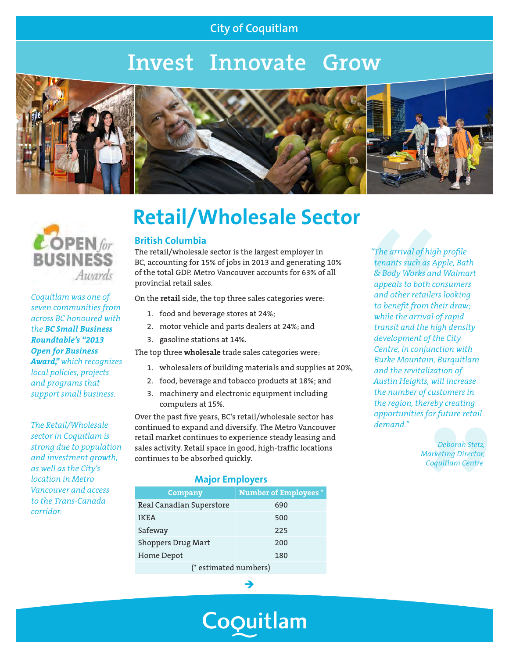## **City of Coquitlam**

# **Invest Innovate Grow**





## $\mathcal{L}$  OPEN for **BUSINESS** Awards

*Coquitlam was one of seven communities from across BC honoured with the BC Small Business Roundtable's "2013 Open for Business Award," which recognizes local policies, projects and programs that support small business.*

*The Retail/Wholesale sector in Coquitlam is strong due to population and investment growth, as well as the City's location in Metro Vancouver and access to the Trans-Canada corridor.*

# **Retail/Wholesale Sector**

#### **British Columbia**

The retail/wholesale sector is the largest employer in BC, accounting for 15% of jobs in 2013 and generating 10% of the total GDP. Metro Vancouver accounts for 63% of all provincial retail sales.

On the **retail** side, the top three sales categories were:

- 1. food and beverage stores at 24%;
- 2. motor vehicle and parts dealers at 24%; and
- 3. gasoline stations at 14%.

The top three **wholesale** trade sales categories were:

- 1. wholesalers of building materials and supplies at 20%,
- 2. food, beverage and tobacco products at 18%; and
- 3. machinery and electronic equipment including computers at 15%.

Over the past five years, BC's retail/wholesale sector has continued to expand and diversify. The Metro Vancouver retail market continues to experience steady leasing and sales activity. Retail space in good, high-traffic locations continues to be absorbed quickly.

#### **Major Employers**

| <b>Company</b>            | <b>Number of Employees*</b> |
|---------------------------|-----------------------------|
| Real Canadian Superstore  | 690                         |
| IKEA                      | 500                         |
| Safeway                   | 225                         |
| <b>Shoppers Drug Mart</b> | 200                         |
| Home Depot                | 180                         |
| $\sqrt{1 + \frac{1}{2}}$  |                             |

(\* estimated numbers)

→

Coquitlam

*"The arrival of high profile tenants such as Apple, Bath & Body Works and Walmart appeals to both consumers and other retailers looking to benefit from their draw; while the arrival of rapid transit and the high density development of the City Centre, in conjunction with Burke Mountain, Burquitlam and the revitalization of Austin Heights, will increase the number of customers in the region, thereby creating opportunities for future retail demand."*

> *Deborah Stetz, Marketing Director, Coquitlam Centre*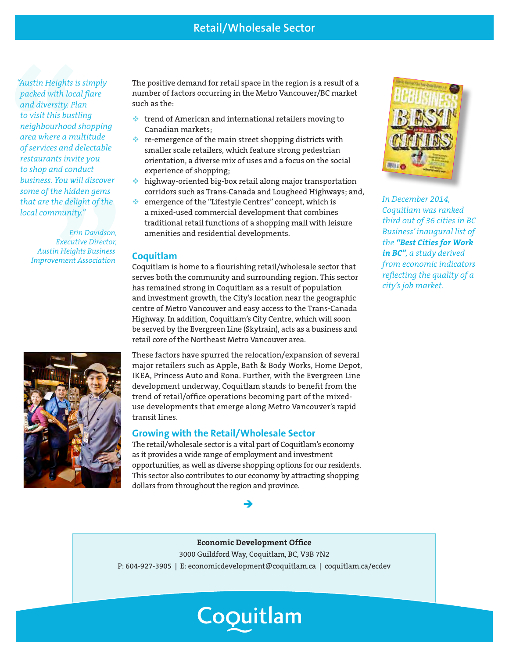### **Retail/Wholesale Sector**

*"Austin Heights is simply packed with local flare and diversity. Plan to visit this bustling neighbourhood shopping area where a multitude of services and delectable restaurants invite you to shop and conduct business. You will discover some of the hidden gems that are the delight of the local community."*

> *Erin Davidson, Executive Director, Austin Heights Business Improvement Association*



The positive demand for retail space in the region is a result of a number of factors occurring in the Metro Vancouver/BC market such as the:

- $\cdot$  trend of American and international retailers moving to Canadian markets;
- $\cdot$  re-emergence of the main street shopping districts with smaller scale retailers, which feature strong pedestrian orientation, a diverse mix of uses and a focus on the social experience of shopping;
- $\cdot$  highway-oriented big-box retail along major transportation corridors such as Trans-Canada and Lougheed Highways; and,
- emergence of the "Lifestyle Centres" concept, which is a mixed-used commercial development that combines traditional retail functions of a shopping mall with leisure amenities and residential developments.

#### **Coquitlam**

Coquitlam is home to a flourishing retail/wholesale sector that serves both the community and surrounding region. This sector has remained strong in Coquitlam as a result of population and investment growth, the City's location near the geographic centre of Metro Vancouver and easy access to the Trans-Canada Highway. In addition, Coquitlam's City Centre, which will soon be served by the Evergreen Line (Skytrain), acts as a business and retail core of the Northeast Metro Vancouver area.

These factors have spurred the relocation/expansion of several major retailers such as Apple, Bath & Body Works, Home Depot, IKEA, Princess Auto and Rona. Further, with the Evergreen Line development underway, Coquitlam stands to benefit from the trend of retail/office operations becoming part of the mixeduse developments that emerge along Metro Vancouver's rapid transit lines.

#### **Growing with the Retail/Wholesale Sector**

The retail/wholesale sector is a vital part of Coquitlam's economy as it provides a wide range of employment and investment opportunities, as well as diverse shopping options for our residents. This sector also contributes to our economy by attracting shopping dollars from throughout the region and province.

→



*In December 2014, Coquitlam was ranked third out of 36 cities in BC Business' inaugural list of the "Best Cities for Work in BC", a study derived from economic indicators reflecting the quality of a city's job market.*

**Economic Development Office**  3000 Guildford Way, Coquitlam, BC, V3B 7N2 P: 604-927-3905 | E: economicdevelopment@coquitlam.ca | coquitlam.ca/ecdev

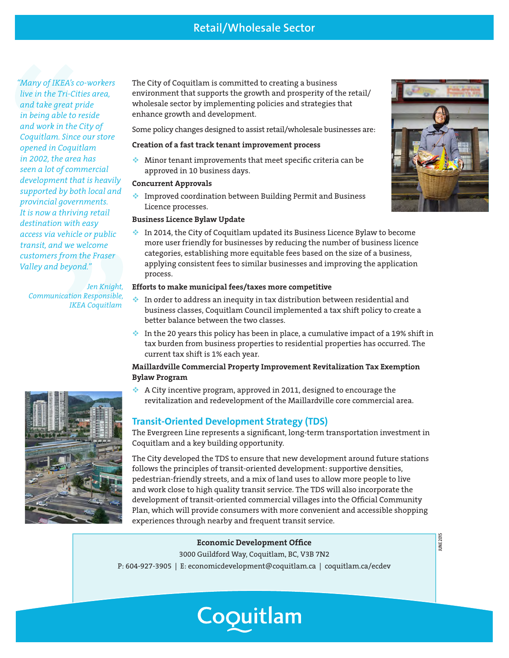*"Many of IKEA's co-workers live in the Tri-Cities area, and take great pride in being able to reside and work in the City of Coquitlam. Since our store opened in Coquitlam in 2002, the area has seen a lot of commercial development that is heavily supported by both local and provincial governments. It is now a thriving retail destination with easy access via vehicle or public transit, and we welcome customers from the Fraser Valley and beyond."* 

*Jen Knight, Communication Responsible, IKEA Coquitlam*



The City of Coquitlam is committed to creating a business environment that supports the growth and prosperity of the retail/ wholesale sector by implementing policies and strategies that enhance growth and development.

Some policy changes designed to assist retail/wholesale businesses are:

#### **Creation of a fast track tenant improvement process**

 $\bullet$  Minor tenant improvements that meet specific criteria can be approved in 10 business days.

#### **Concurrent Approvals**

**Improved coordination between Building Permit and Business** Licence processes.

#### **Business Licence Bylaw Update**

In 2014, the City of Coquitlam updated its Business Licence Bylaw to become more user friendly for businesses by reducing the number of business licence categories, establishing more equitable fees based on the size of a business, applying consistent fees to similar businesses and improving the application process.

#### **Efforts to make municipal fees/taxes more competitive**

- In order to address an inequity in tax distribution between residential and business classes, Coquitlam Council implemented a tax shift policy to create a better balance between the two classes.
- In the 20 years this policy has been in place, a cumulative impact of a 19% shift in tax burden from business properties to residential properties has occurred. The current tax shift is 1% each year.

#### **Maillardville Commercial Property Improvement Revitalization Tax Exemption Bylaw Program**

A City incentive program, approved in 2011, designed to encourage the revitalization and redevelopment of the Maillardville core commercial area.

#### **Transit-Oriented Development Strategy (TDS)**

The Evergreen Line represents a significant, long-term transportation investment in Coquitlam and a key building opportunity.

The City developed the TDS to ensure that new development around future stations follows the principles of transit-oriented development: supportive densities, pedestrian-friendly streets, and a mix of land uses to allow more people to live and work close to high quality transit service. The TDS will also incorporate the development of transit-oriented commercial villages into the Official Community Plan, which will provide consumers with more convenient and accessible shopping experiences through nearby and frequent transit service.

#### **Economic Development Office**

3000 Guildford Way, Coquitlam, BC, V3B 7N2

P: 604-927-3905 | E: economicdevelopment@coquitlam.ca | coquitlam.ca/ecdev

Coquitlam



**JUNE 2015**